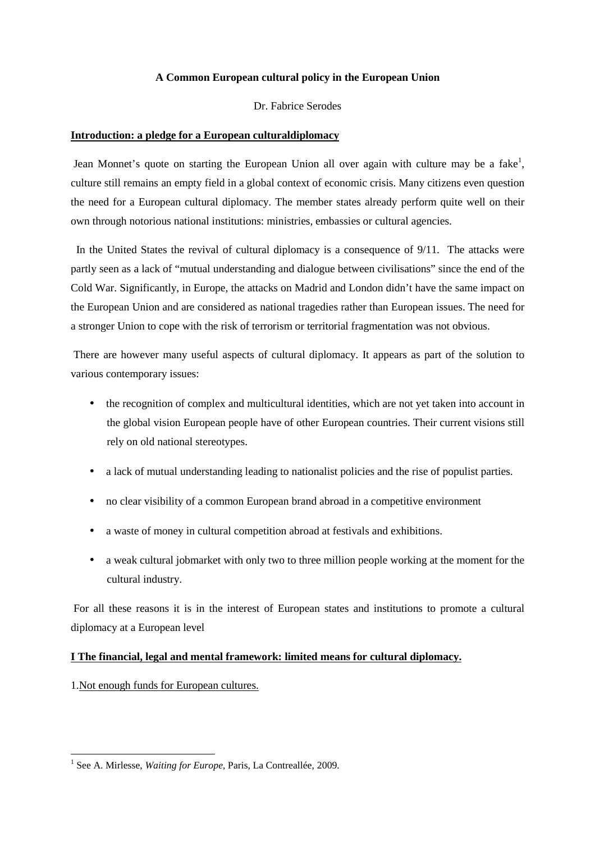# **A Common European cultural policy in the European Union**

# Dr. Fabrice Serodes

# **Introduction: a pledge for a European culturaldiplomacy**

Jean Monnet's quote on starting the European Union all over again with culture may be a fake<sup>1</sup>, culture still remains an empty field in a global context of economic crisis. Many citizens even question the need for a European cultural diplomacy. The member states already perform quite well on their own through notorious national institutions: ministries, embassies or cultural agencies.

 In the United States the revival of cultural diplomacy is a consequence of 9/11. The attacks were partly seen as a lack of "mutual understanding and dialogue between civilisations" since the end of the Cold War. Significantly, in Europe, the attacks on Madrid and London didn't have the same impact on the European Union and are considered as national tragedies rather than European issues. The need for a stronger Union to cope with the risk of terrorism or territorial fragmentation was not obvious.

 There are however many useful aspects of cultural diplomacy. It appears as part of the solution to various contemporary issues:

- the recognition of complex and multicultural identities, which are not yet taken into account in the global vision European people have of other European countries. Their current visions still rely on old national stereotypes.
- a lack of mutual understanding leading to nationalist policies and the rise of populist parties.
- no clear visibility of a common European brand abroad in a competitive environment
- a waste of money in cultural competition abroad at festivals and exhibitions.
- a weak cultural jobmarket with only two to three million people working at the moment for the cultural industry.

 For all these reasons it is in the interest of European states and institutions to promote a cultural diplomacy at a European level

## **I The financial, legal and mental framework: limited means for cultural diplomacy.**

1.Not enough funds for European cultures.

 $\overline{a}$ 

<sup>&</sup>lt;sup>1</sup> See A. Mirlesse, *Waiting for Europe*, Paris, La Contreallée, 2009.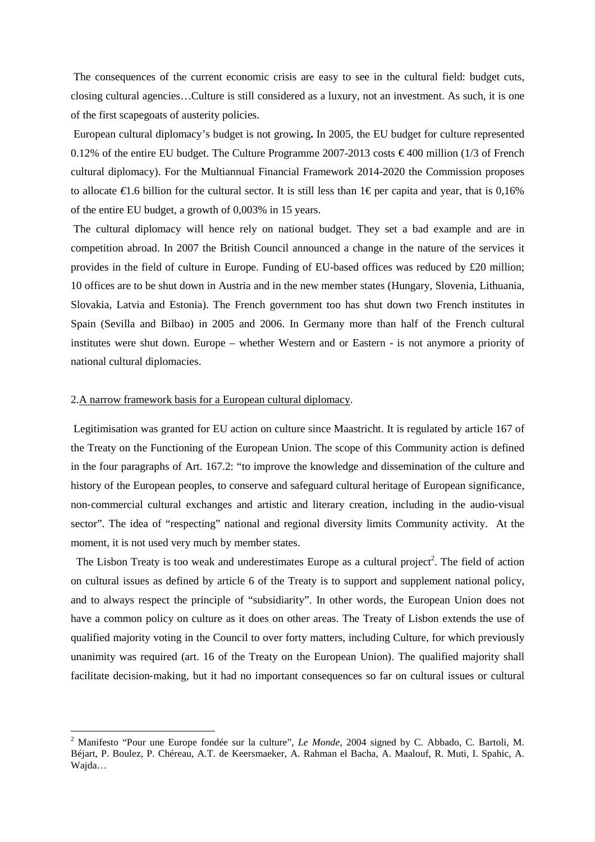The consequences of the current economic crisis are easy to see in the cultural field: budget cuts, closing cultural agencies…Culture is still considered as a luxury, not an investment. As such, it is one of the first scapegoats of austerity policies.

 European cultural diplomacy's budget is not growing**.** In 2005, the EU budget for culture represented 0.12% of the entire EU budget. The Culture Programme 2007-2013 costs  $\epsilon$  400 million (1/3 of French cultural diplomacy). For the Multiannual Financial Framework 2014-2020 the Commission proposes to allocate *€*1.6 billion for the cultural sector. It is still less than 1€ per capita and year, that is 0,16% of the entire EU budget, a growth of 0,003% in 15 years.

 The cultural diplomacy will hence rely on national budget. They set a bad example and are in competition abroad. In 2007 the British Council announced a change in the nature of the services it provides in the field of culture in Europe. Funding of EU-based offices was reduced by £20 million; 10 offices are to be shut down in Austria and in the new member states (Hungary, Slovenia, Lithuania, Slovakia, Latvia and Estonia). The French government too has shut down two French institutes in Spain (Sevilla and Bilbao) in 2005 and 2006. In Germany more than half of the French cultural institutes were shut down. Europe – whether Western and or Eastern - is not anymore a priority of national cultural diplomacies.

### 2.A narrow framework basis for a European cultural diplomacy.

l

 Legitimisation was granted for EU action on culture since Maastricht. It is regulated by article 167 of the Treaty on the Functioning of the European Union. The scope of this Community action is defined in the four paragraphs of Art. 167.2: "to improve the knowledge and dissemination of the culture and history of the European peoples, to conserve and safeguard cultural heritage of European significance, non‐commercial cultural exchanges and artistic and literary creation, including in the audio‐visual sector". The idea of "respecting" national and regional diversity limits Community activity. At the moment, it is not used very much by member states.

The Lisbon Treaty is too weak and underestimates Europe as a cultural project<sup>2</sup>. The field of action on cultural issues as defined by article 6 of the Treaty is to support and supplement national policy, and to always respect the principle of "subsidiarity". In other words, the European Union does not have a common policy on culture as it does on other areas. The Treaty of Lisbon extends the use of qualified majority voting in the Council to over forty matters, including Culture, for which previously unanimity was required (art. 16 of the Treaty on the European Union). The qualified majority shall facilitate decision–making, but it had no important consequences so far on cultural issues or cultural

<sup>2</sup> Manifesto "Pour une Europe fondée sur la culture", *Le Monde*, 2004 signed by C. Abbado, C. Bartoli, M. Béjart, P. Boulez, P. Chéreau, A.T. de Keersmaeker, A. Rahman el Bacha, A. Maalouf, R. Muti, I. Spahic, A. Wajda…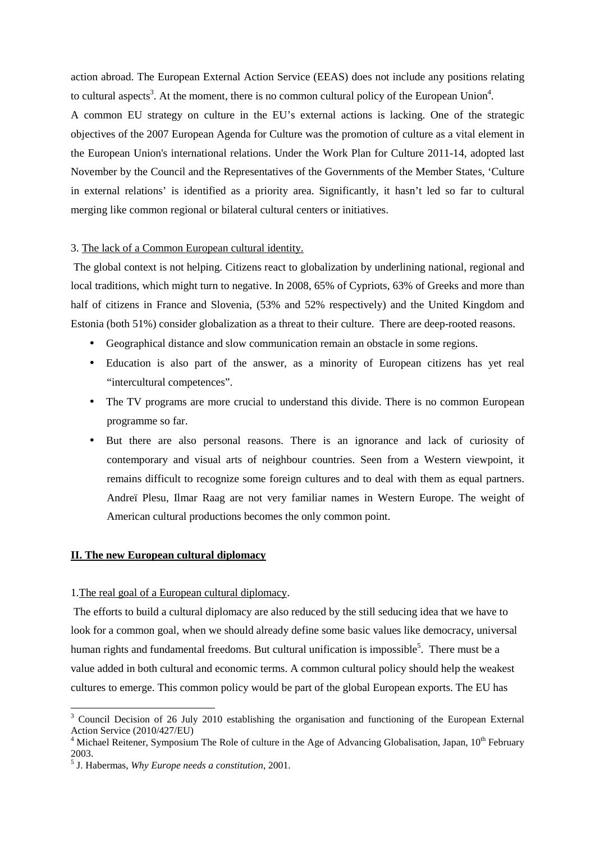action abroad. The European External Action Service (EEAS) does not include any positions relating to cultural aspects<sup>3</sup>. At the moment, there is no common cultural policy of the European Union<sup>4</sup>.

A common EU strategy on culture in the EU's external actions is lacking. One of the strategic objectives of the 2007 European Agenda for Culture was the promotion of culture as a vital element in the European Union's international relations. Under the Work Plan for Culture 2011-14, adopted last November by the Council and the Representatives of the Governments of the Member States, 'Culture in external relations' is identified as a priority area. Significantly, it hasn't led so far to cultural merging like common regional or bilateral cultural centers or initiatives.

### 3. The lack of a Common European cultural identity.

 The global context is not helping. Citizens react to globalization by underlining national, regional and local traditions, which might turn to negative. In 2008, 65% of Cypriots, 63% of Greeks and more than half of citizens in France and Slovenia, (53% and 52% respectively) and the United Kingdom and Estonia (both 51%) consider globalization as a threat to their culture. There are deep-rooted reasons.

- Geographical distance and slow communication remain an obstacle in some regions.
- Education is also part of the answer, as a minority of European citizens has yet real "intercultural competences".
- The TV programs are more crucial to understand this divide. There is no common European programme so far.
- But there are also personal reasons. There is an ignorance and lack of curiosity of contemporary and visual arts of neighbour countries. Seen from a Western viewpoint, it remains difficult to recognize some foreign cultures and to deal with them as equal partners. Andreï Plesu, Ilmar Raag are not very familiar names in Western Europe. The weight of American cultural productions becomes the only common point.

### **II. The new European cultural diplomacy**

#### 1.The real goal of a European cultural diplomacy.

 The efforts to build a cultural diplomacy are also reduced by the still seducing idea that we have to look for a common goal, when we should already define some basic values like democracy, universal human rights and fundamental freedoms. But cultural unification is impossible<sup>5</sup>. There must be a value added in both cultural and economic terms. A common cultural policy should help the weakest cultures to emerge. This common policy would be part of the global European exports. The EU has

 $\overline{a}$ 

<sup>&</sup>lt;sup>3</sup> Council Decision of 26 July 2010 establishing the organisation and functioning of the European External Action Service (2010/427/EU)

<sup>&</sup>lt;sup>4</sup> Michael Reitener, Symposium The Role of culture in the Age of Advancing Globalisation, Japan,  $10^{th}$  February 2003.

<sup>5</sup> J. Habermas, *Why Europe needs a constitution*, 2001.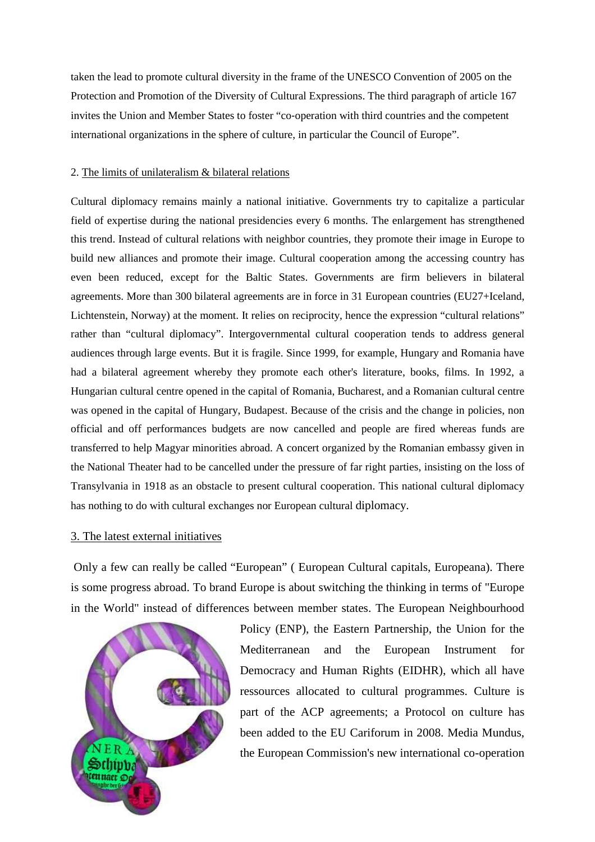taken the lead to promote cultural diversity in the frame of the UNESCO Convention of 2005 on the Protection and Promotion of the Diversity of Cultural Expressions. The third paragraph of article 167 invites the Union and Member States to foster "co‐operation with third countries and the competent international organizations in the sphere of culture, in particular the Council of Europe".

## 2. The limits of unilateralism & bilateral relations

Cultural diplomacy remains mainly a national initiative. Governments try to capitalize a particular field of expertise during the national presidencies every 6 months. The enlargement has strengthened this trend. Instead of cultural relations with neighbor countries, they promote their image in Europe to build new alliances and promote their image. Cultural cooperation among the accessing country has even been reduced, except for the Baltic States. Governments are firm believers in bilateral agreements. More than 300 bilateral agreements are in force in 31 European countries (EU27+Iceland, Lichtenstein, Norway) at the moment. It relies on reciprocity, hence the expression "cultural relations" rather than "cultural diplomacy". Intergovernmental cultural cooperation tends to address general audiences through large events. But it is fragile. Since 1999, for example, Hungary and Romania have had a bilateral agreement whereby they promote each other's literature, books, films. In 1992, a Hungarian cultural centre opened in the capital of Romania, Bucharest, and a Romanian cultural centre was opened in the capital of Hungary, Budapest. Because of the crisis and the change in policies, non official and off performances budgets are now cancelled and people are fired whereas funds are transferred to help Magyar minorities abroad. A concert organized by the Romanian embassy given in the National Theater had to be cancelled under the pressure of far right parties, insisting on the loss of Transylvania in 1918 as an obstacle to present cultural cooperation. This national cultural diplomacy has nothing to do with cultural exchanges nor European cultural diplomacy.

## 3. The latest external initiatives

 Only a few can really be called "European" ( European Cultural capitals, Europeana). There is some progress abroad. To brand Europe is about switching the thinking in terms of "Europe in the World" instead of differences between member states. The European Neighbourhood



Policy (ENP), the Eastern Partnership, the Union for the Mediterranean and the European Instrument for Democracy and Human Rights (EIDHR), which all have ressources allocated to cultural programmes. Culture is part of the ACP agreements; a Protocol on culture has been added to the EU Cariforum in 2008. Media Mundus, the European Commission's new international co-operation